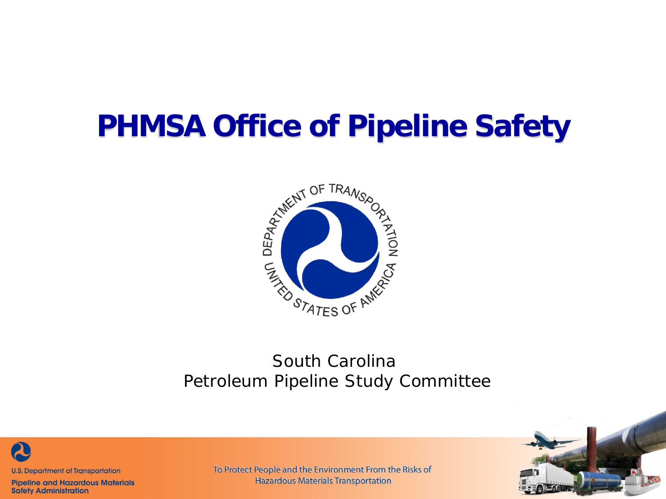#### **PHMSA Office of Pipeline Safety**



#### *South Carolina Petroleum Pipeline Study Committee*



**Pipeline and Hazardous Materials Safety Administration** 

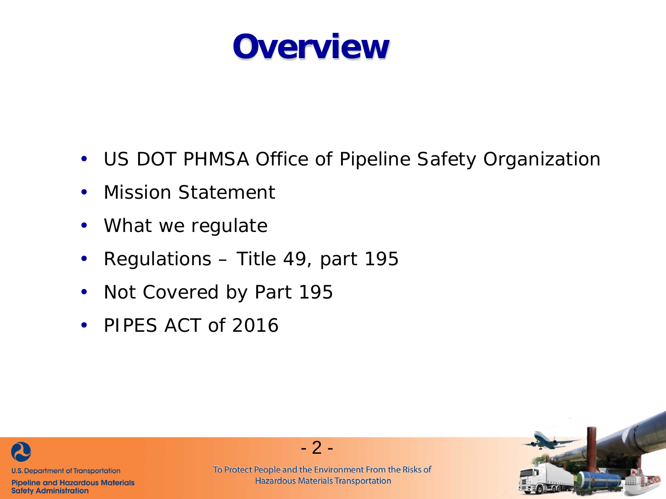

- US DOT PHMSA Office of Pipeline Safety Organization
- Mission Statement
- What we regulate
- Regulations Title 49, part 195
- Not Covered by Part 195
- PIPES ACT of 2016



**Pipeline and Hazardous Materials Safety Administration** 



- 2 -

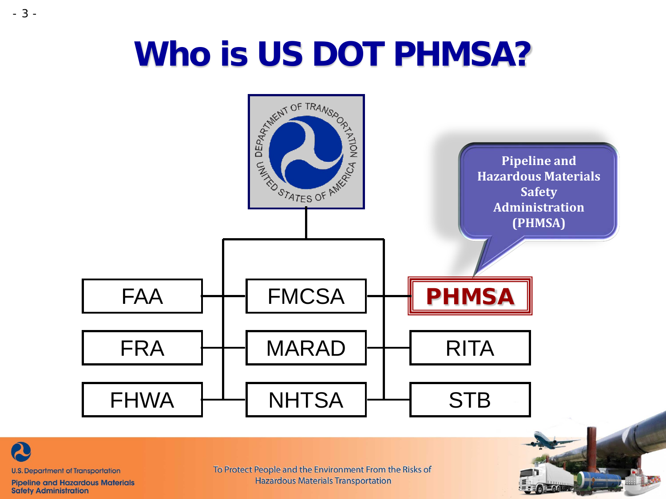### **Who is US DOT PHMSA?**





- 3 -

**Pipeline and Hazardous Materials Safety Administration** 

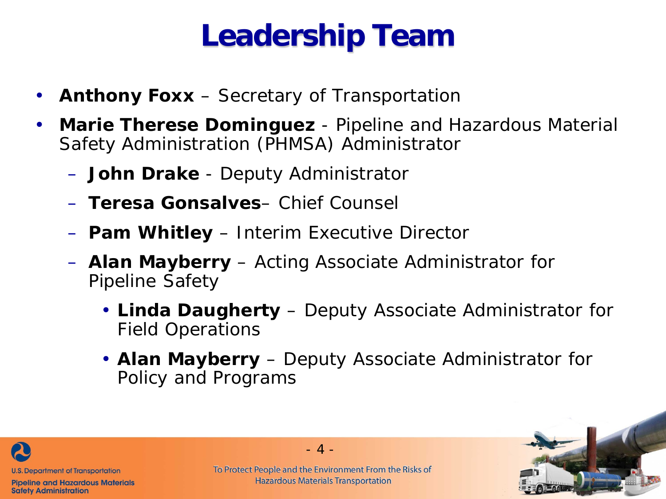#### **Leadership Team**

- **Anthony Foxx**  Secretary of Transportation
- **Marie Therese Dominguez** Pipeline and Hazardous Material Safety Administration (PHMSA) Administrator
	- **John Drake**  Deputy Administrator
	- **Teresa Gonsalves** Chief Counsel
	- **Pam Whitley**  Interim Executive Director
	- **Alan Mayberry**  Acting Associate Administrator for Pipeline Safety
		- **Linda Daugherty** Deputy Associate Administrator for Field Operations
		- **Alan Mayberry**  Deputy Associate Administrator for Policy and Programs



**Pipeline and Hazardous Materials Safety Administration** 

To Protect People and the Environment From the Risks of **Hazardous Materials Transportation** 

 $-4 -$ 

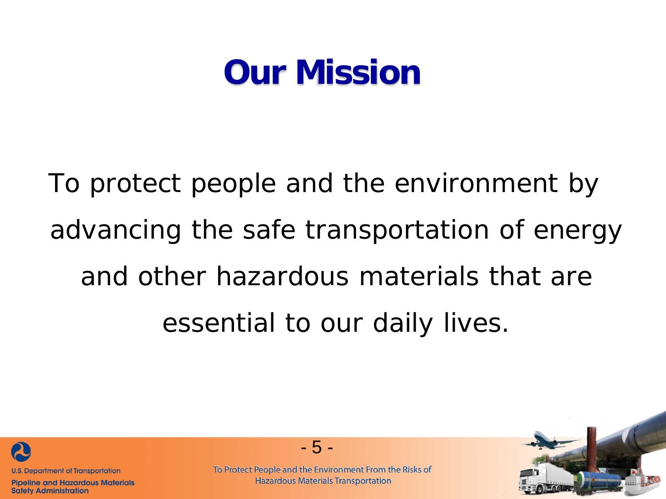#### **Our Mission**

To protect people and the environment by advancing the safe transportation of energy and other hazardous materials that are essential to our daily lives.



**Pipeline and Hazardous Materials Safety Administration** 



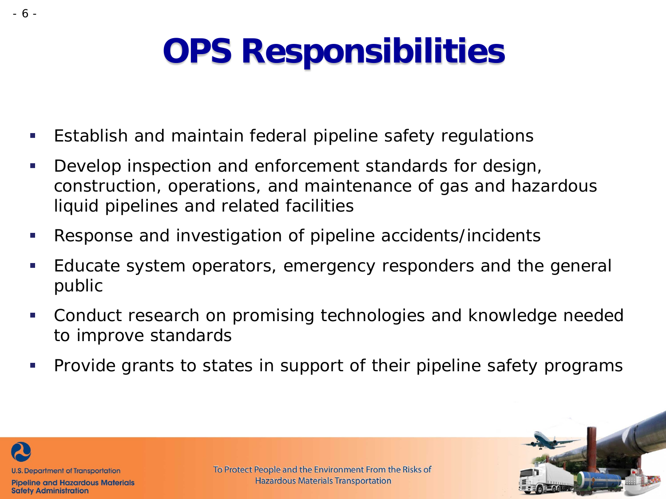## **OPS Responsibilities**

- **Establish and maintain federal pipeline safety regulations**
- Develop inspection and enforcement standards for design, construction, operations, and maintenance of gas and hazardous liquid pipelines and related facilities
- Response and investigation of pipeline accidents/incidents
- Educate system operators, emergency responders and the general public
- Conduct research on promising technologies and knowledge needed to improve standards
- **Provide grants to states in support of their pipeline safety programs**



**Safety Administration** 

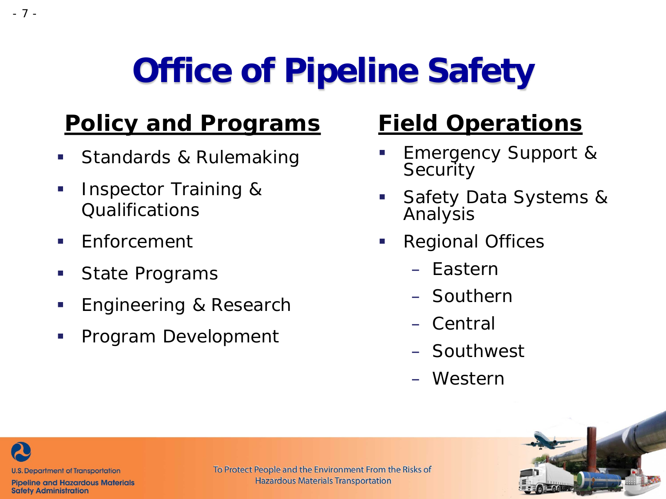# **Office of Pipeline Safety**

#### **Policy and Programs**

- **Standards & Rulemaking**
- **Inspector Training &** Qualifications
- $\blacksquare$  Enforcement
- State Programs
- **Engineering & Research**
- **Program Development**

#### **Field Operations**

- Emergency Support & **Security**
- Safety Data Systems & Analysis
- **Regional Offices** 
	- Eastern
	- Southern
	- Central
	- Southwest
	- Western



**U.S. Department of Transportation** 

**Pipeline and Hazardous Materials Safety Administration**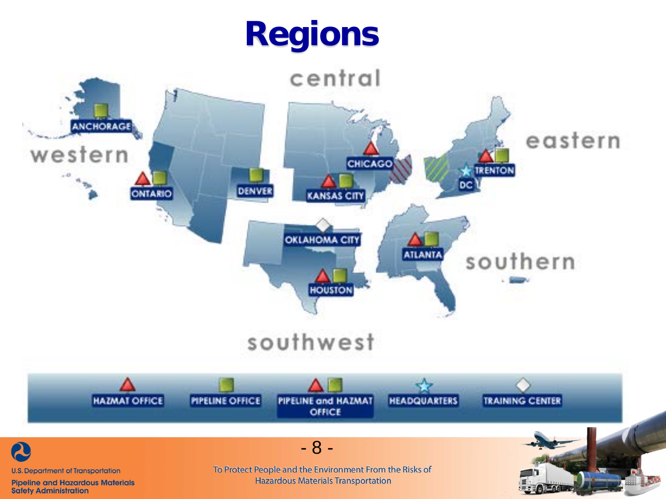### **Regions**

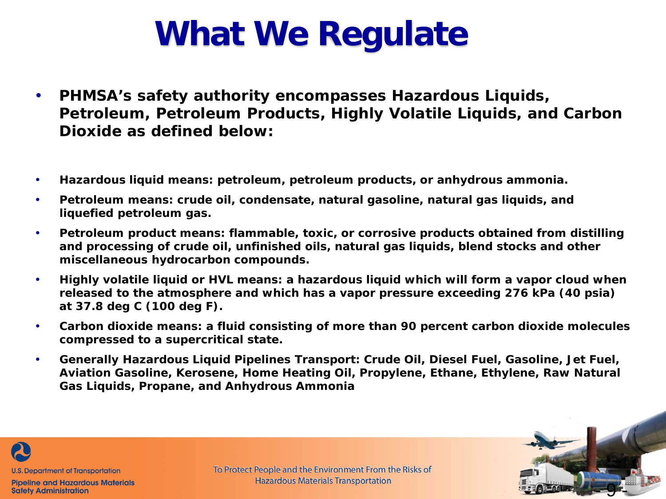### **What We Regulate**

- **PHMSA's safety authority encompasses Hazardous Liquids, Petroleum, Petroleum Products, Highly Volatile Liquids, and Carbon Dioxide as defined below:**
- **Hazardous liquid means: petroleum, petroleum products, or anhydrous ammonia.**
- **Petroleum means: crude oil, condensate, natural gasoline, natural gas liquids, and liquefied petroleum gas.**
- **Petroleum product means: flammable, toxic, or corrosive products obtained from distilling and processing of crude oil, unfinished oils, natural gas liquids, blend stocks and other miscellaneous hydrocarbon compounds.**
- **Highly volatile liquid or HVL means: a hazardous liquid which will form a vapor cloud when released to the atmosphere and which has a vapor pressure exceeding 276 kPa (40 psia) at 37.8 deg C (100 deg F).**
- **Carbon dioxide means: a fluid consisting of more than 90 percent carbon dioxide molecules compressed to a supercritical state.**
- **Generally Hazardous Liquid Pipelines Transport: Crude Oil, Diesel Fuel, Gasoline, Jet Fuel, Aviation Gasoline, Kerosene, Home Heating Oil, Propylene, Ethane, Ethylene, Raw Natural Gas Liquids, Propane, and Anhydrous Ammonia**



**Pipeline and Hazardous Materials Safety Administration** 

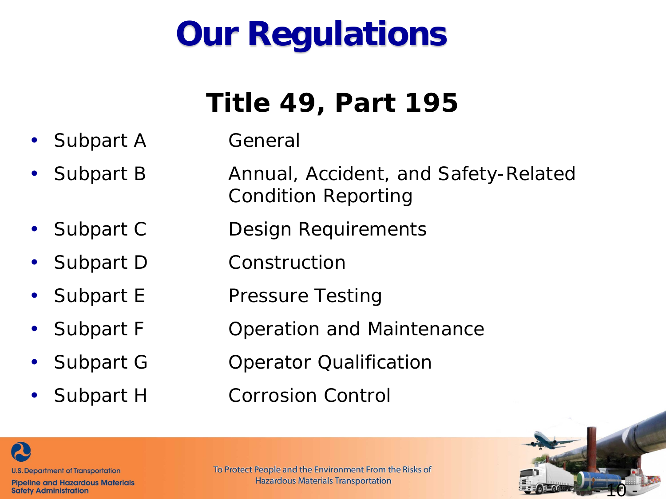### **Our Regulations**

#### **Title 49, Part 195**

- Subpart A General
- Subpart B Annual, Accident, and Safety-Related Condition Reporting
	- Subpart C Design Requirements
	- Subpart D Construction
	- Subpart E Pressure Testing
	- Subpart F Operation and Maintenance
	- Subpart G Operator Qualification
	- Subpart H Corrosion Control





**Pipeline and Hazardous Materials Safety Administration**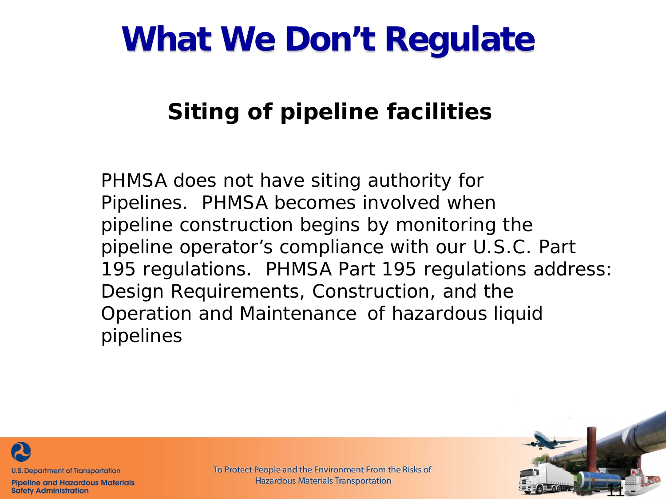### **What We Don't Regulate**

#### **Siting of pipeline facilities**

PHMSA does not have siting authority for Pipelines. PHMSA becomes involved when pipeline construction begins by monitoring the pipeline operator's compliance with our U.S.C. Part 195 regulations. PHMSA Part 195 regulations address: Design Requirements, Construction, and the Operation and Maintenance of hazardous liquid pipelines



**Pipeline and Hazardous Materials Safety Administration** 

To Protect People and the Environment From the Risks of **Hazardous Materials Transportation** 

- 11 -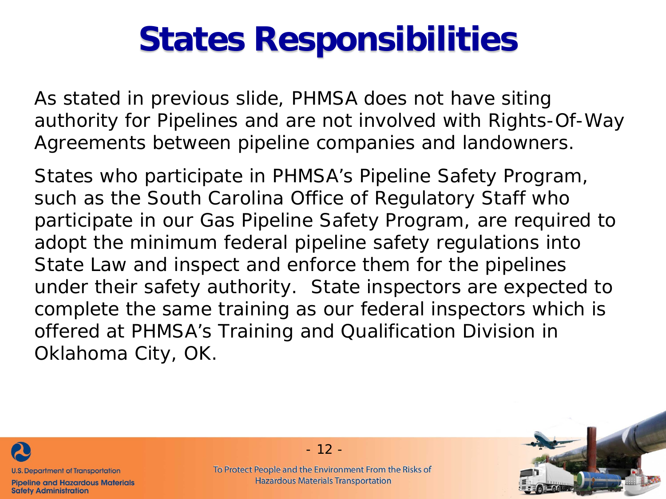### **States Responsibilities**

As stated in previous slide, PHMSA does not have siting authority for Pipelines and are not involved with Rights-Of-Way Agreements between pipeline companies and landowners.

States who participate in PHMSA's Pipeline Safety Program, such as the South Carolina Office of Regulatory Staff who participate in our Gas Pipeline Safety Program, are required to adopt the minimum federal pipeline safety regulations into State Law and inspect and enforce them for the pipelines under their safety authority. State inspectors are expected to complete the same training as our federal inspectors which is offered at PHMSA's Training and Qualification Division in Oklahoma City, OK.



**Pipeline and Hazardous Materials Safety Administration** 

- 12 -

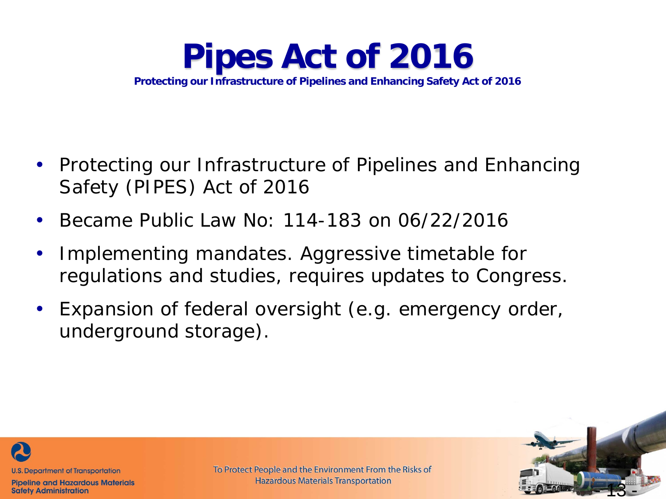**Pipes Act of 2016 Protecting our Infrastructure of Pipelines and Enhancing Safety Act of 2016**

- Protecting our Infrastructure of Pipelines and Enhancing Safety (PIPES) Act of 2016
- Became Public Law No: 114-183 on 06/22/2016
- Implementing mandates. Aggressive timetable for regulations and studies, requires updates to Congress.
- Expansion of federal oversight (e.g. emergency order, underground storage).



**Pipeline and Hazardous Materials Safety Administration** 

To Protect People and the Environment From the Risks of **Hazardous Materials Transportation** 

- 13 -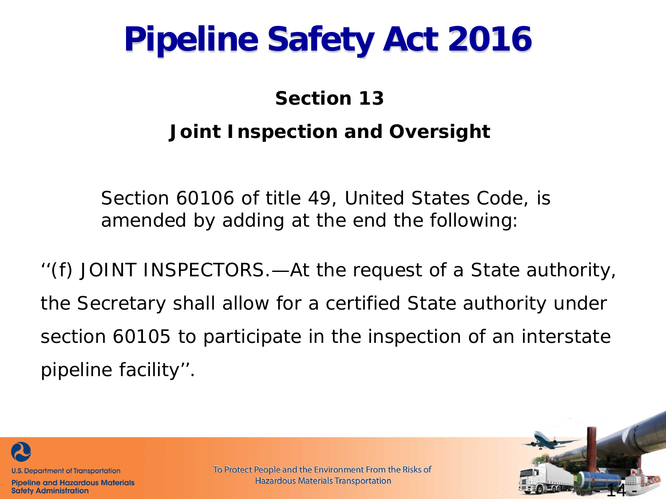### **Pipeline Safety Act 2016**

#### **Section 13 Joint Inspection and Oversight**

Section 60106 of title 49, United States Code, is amended by adding at the end the following:

''(f) JOINT INSPECTORS.—At the request of a State authority, the Secretary shall allow for a certified State authority under section 60105 to participate in the inspection of an interstate pipeline facility''.



**Pipeline and Hazardous Materials Safety Administration**